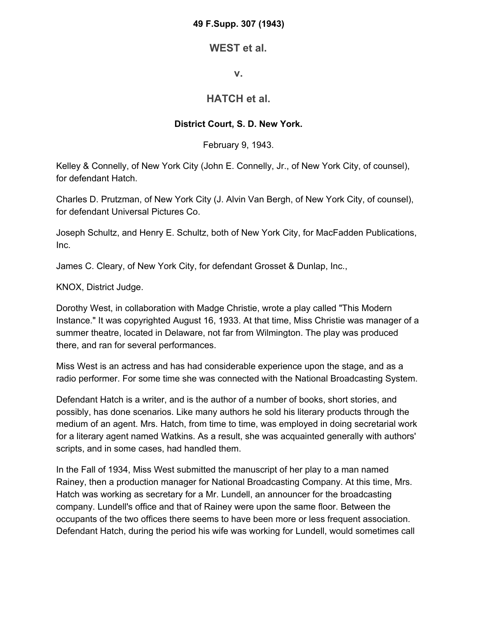#### **49 F.Supp. 307 (1943)**

## **WEST et al.**

#### **v.**

# **HATCH et al.**

### **District Court, S. D. New York.**

February 9, 1943.

Kelley & Connelly, of New York City (John E. Connelly, Jr., of New York City, of counsel), for defendant Hatch.

Charles D. Prutzman, of New York City (J. Alvin Van Bergh, of New York City, of counsel), for defendant Universal Pictures Co.

Joseph Schultz, and Henry E. Schultz, both of New York City, for MacFadden Publications, Inc.

James C. Cleary, of New York City, for defendant Grosset & Dunlap, Inc.,

KNOX, District Judge.

Dorothy West, in collaboration with Madge Christie, wrote a play called "This Modern Instance." It was copyrighted August 16, 1933. At that time, Miss Christie was manager of a summer theatre, located in Delaware, not far from Wilmington. The play was produced there, and ran for several performances.

Miss West is an actress and has had considerable experience upon the stage, and as a radio performer. For some time she was connected with the National Broadcasting System.

Defendant Hatch is a writer, and is the author of a number of books, short stories, and possibly, has done scenarios. Like many authors he sold his literary products through the medium of an agent. Mrs. Hatch, from time to time, was employed in doing secretarial work for a literary agent named Watkins. As a result, she was acquainted generally with authors' scripts, and in some cases, had handled them.

In the Fall of 1934, Miss West submitted the manuscript of her play to a man named Rainey, then a production manager for National Broadcasting Company. At this time, Mrs. Hatch was working as secretary for a Mr. Lundell, an announcer for the broadcasting company. Lundell's office and that of Rainey were upon the same floor. Between the occupants of the two offices there seems to have been more or less frequent association. Defendant Hatch, during the period his wife was working for Lundell, would sometimes call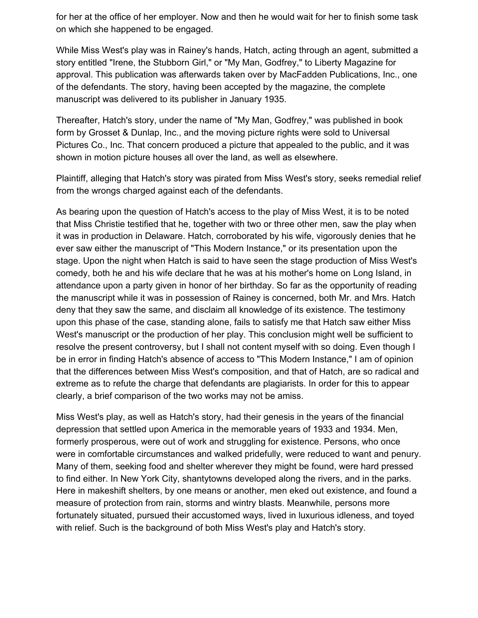for her at the office of her employer. Now and then he would wait for her to finish some task on which she happened to be engaged.

While Miss West's play was in Rainey's hands, Hatch, acting through an agent, submitted a story entitled "Irene, the Stubborn Girl," or "My Man, Godfrey," to Liberty Magazine for approval. This publication was afterwards taken over by MacFadden Publications, Inc., one of the defendants. The story, having been accepted by the magazine, the complete manuscript was delivered to its publisher in January 1935.

Thereafter, Hatch's story, under the name of "My Man, Godfrey," was published in book form by Grosset & Dunlap, Inc., and the moving picture rights were sold to Universal Pictures Co., Inc. That concern produced a picture that appealed to the public, and it was shown in motion picture houses all over the land, as well as elsewhere.

Plaintiff, alleging that Hatch's story was pirated from Miss West's story, seeks remedial relief from the wrongs charged against each of the defendants.

As bearing upon the question of Hatch's access to the play of Miss West, it is to be noted that Miss Christie testified that he, together with two or three other men, saw the play when it was in production in Delaware. Hatch, corroborated by his wife, vigorously denies that he ever saw either the manuscript of "This Modern Instance," or its presentation upon the stage. Upon the night when Hatch is said to have seen the stage production of Miss West's comedy, both he and his wife declare that he was at his mother's home on Long Island, in attendance upon a party given in honor of her birthday. So far as the opportunity of reading the manuscript while it was in possession of Rainey is concerned, both Mr. and Mrs. Hatch deny that they saw the same, and disclaim all knowledge of its existence. The testimony upon this phase of the case, standing alone, fails to satisfy me that Hatch saw either Miss West's manuscript or the production of her play. This conclusion might well be sufficient to resolve the present controversy, but I shall not content myself with so doing. Even though I be in error in finding Hatch's absence of access to "This Modern Instance," I am of opinion that the differences between Miss West's composition, and that of Hatch, are so radical and extreme as to refute the charge that defendants are plagiarists. In order for this to appear clearly, a brief comparison of the two works may not be amiss.

Miss West's play, as well as Hatch's story, had their genesis in the years of the financial depression that settled upon America in the memorable years of 1933 and 1934. Men, formerly prosperous, were out of work and struggling for existence. Persons, who once were in comfortable circumstances and walked pridefully, were reduced to want and penury. Many of them, seeking food and shelter wherever they might be found, were hard pressed to find either. In New York City, shantytowns developed along the rivers, and in the parks. Here in makeshift shelters, by one means or another, men eked out existence, and found a measure of protection from rain, storms and wintry blasts. Meanwhile, persons more fortunately situated, pursued their accustomed ways, lived in luxurious idleness, and toyed with relief. Such is the background of both Miss West's play and Hatch's story.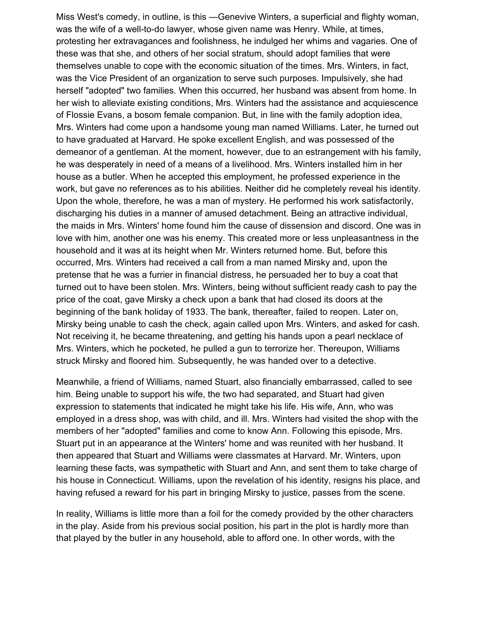Miss West's comedy, in outline, is this —Genevive Winters, a superficial and flighty woman, was the wife of a well-to-do lawyer, whose given name was Henry. While, at times, protesting her extravagances and foolishness, he indulged her whims and vagaries. One of these was that she, and others of her social stratum, should adopt families that were themselves unable to cope with the economic situation of the times. Mrs. Winters, in fact, was the Vice President of an organization to serve such purposes. Impulsively, she had herself "adopted" two families. When this occurred, her husband was absent from home. In her wish to alleviate existing conditions, Mrs. Winters had the assistance and acquiescence of Flossie Evans, a bosom female companion. But, in line with the family adoption idea, Mrs. Winters had come upon a handsome young man named Williams. Later, he turned out to have graduated at Harvard. He spoke excellent English, and was possessed of the demeanor of a gentleman. At the moment, however, due to an estrangement with his family, he was desperately in need of a means of a livelihood. Mrs. Winters installed him in her house as a butler. When he accepted this employment, he professed experience in the work, but gave no references as to his abilities. Neither did he completely reveal his identity. Upon the whole, therefore, he was a man of mystery. He performed his work satisfactorily, discharging his duties in a manner of amused detachment. Being an attractive individual, the maids in Mrs. Winters' home found him the cause of dissension and discord. One was in love with him, another one was his enemy. This created more or less unpleasantness in the household and it was at its height when Mr. Winters returned home. But, before this occurred, Mrs. Winters had received a call from a man named Mirsky and, upon the pretense that he was a furrier in financial distress, he persuaded her to buy a coat that turned out to have been stolen. Mrs. Winters, being without sufficient ready cash to pay the price of the coat, gave Mirsky a check upon a bank that had closed its doors at the beginning of the bank holiday of 1933. The bank, thereafter, failed to reopen. Later on, Mirsky being unable to cash the check, again called upon Mrs. Winters, and asked for cash. Not receiving it, he became threatening, and getting his hands upon a pearl necklace of Mrs. Winters, which he pocketed, he pulled a gun to terrorize her. Thereupon, Williams struck Mirsky and floored him. Subsequently, he was handed over to a detective.

Meanwhile, a friend of Williams, named Stuart, also financially embarrassed, called to see him. Being unable to support his wife, the two had separated, and Stuart had given expression to statements that indicated he might take his life. His wife, Ann, who was employed in a dress shop, was with child, and ill. Mrs. Winters had visited the shop with the members of her "adopted" families and come to know Ann. Following this episode, Mrs. Stuart put in an appearance at the Winters' home and was reunited with her husband. It then appeared that Stuart and Williams were classmates at Harvard. Mr. Winters, upon learning these facts, was sympathetic with Stuart and Ann, and sent them to take charge of his house in Connecticut. Williams, upon the revelation of his identity, resigns his place, and having refused a reward for his part in bringing Mirsky to justice, passes from the scene.

In reality, Williams is little more than a foil for the comedy provided by the other characters in the play. Aside from his previous social position, his part in the plot is hardly more than that played by the butler in any household, able to afford one. In other words, with the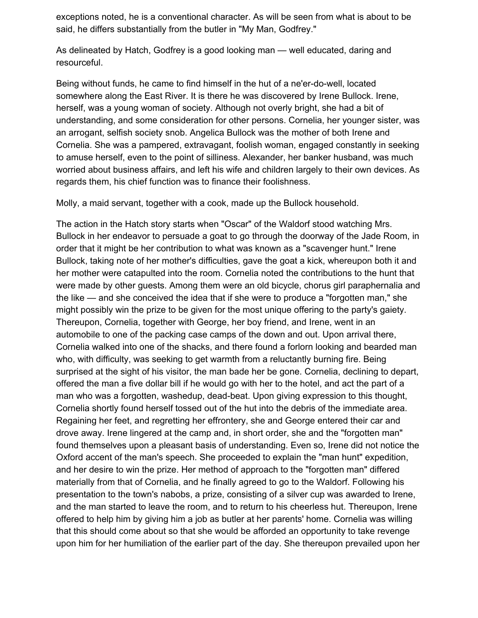exceptions noted, he is a conventional character. As will be seen from what is about to be said, he differs substantially from the butler in "My Man, Godfrey."

As delineated by Hatch, Godfrey is a good looking man — well educated, daring and resourceful.

Being without funds, he came to find himself in the hut of a ne'er-do-well, located somewhere along the East River. It is there he was discovered by Irene Bullock. Irene, herself, was a young woman of society. Although not overly bright, she had a bit of understanding, and some consideration for other persons. Cornelia, her younger sister, was an arrogant, selfish society snob. Angelica Bullock was the mother of both Irene and Cornelia. She was a pampered, extravagant, foolish woman, engaged constantly in seeking to amuse herself, even to the point of silliness. Alexander, her banker husband, was much worried about business affairs, and left his wife and children largely to their own devices. As regards them, his chief function was to finance their foolishness.

Molly, a maid servant, together with a cook, made up the Bullock household.

The action in the Hatch story starts when "Oscar" of the Waldorf stood watching Mrs. Bullock in her endeavor to persuade a goat to go through the doorway of the Jade Room, in order that it might be her contribution to what was known as a "scavenger hunt." Irene Bullock, taking note of her mother's difficulties, gave the goat a kick, whereupon both it and her mother were catapulted into the room. Cornelia noted the contributions to the hunt that were made by other guests. Among them were an old bicycle, chorus girl paraphernalia and the like — and she conceived the idea that if she were to produce a "forgotten man," she might possibly win the prize to be given for the most unique offering to the party's gaiety. Thereupon, Cornelia, together with George, her boy friend, and Irene, went in an automobile to one of the packing case camps of the down and out. Upon arrival there, Cornelia walked into one of the shacks, and there found a forlorn looking and bearded man who, with difficulty, was seeking to get warmth from a reluctantly burning fire. Being surprised at the sight of his visitor, the man bade her be gone. Cornelia, declining to depart, offered the man a five dollar bill if he would go with her to the hotel, and act the part of a man who was a forgotten, washedup, dead-beat. Upon giving expression to this thought, Cornelia shortly found herself tossed out of the hut into the debris of the immediate area. Regaining her feet, and regretting her effrontery, she and George entered their car and drove away. Irene lingered at the camp and, in short order, she and the "forgotten man" found themselves upon a pleasant basis of understanding. Even so, Irene did not notice the Oxford accent of the man's speech. She proceeded to explain the "man hunt" expedition, and her desire to win the prize. Her method of approach to the "forgotten man" differed materially from that of Cornelia, and he finally agreed to go to the Waldorf. Following his presentation to the town's nabobs, a prize, consisting of a silver cup was awarded to Irene, and the man started to leave the room, and to return to his cheerless hut. Thereupon, Irene offered to help him by giving him a job as butler at her parents' home. Cornelia was willing that this should come about so that she would be afforded an opportunity to take revenge upon him for her humiliation of the earlier part of the day. She thereupon prevailed upon her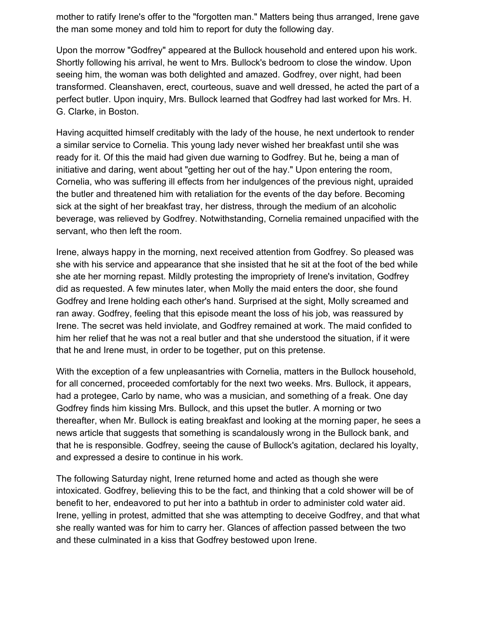mother to ratify Irene's offer to the "forgotten man." Matters being thus arranged, Irene gave the man some money and told him to report for duty the following day.

Upon the morrow "Godfrey" appeared at the Bullock household and entered upon his work. Shortly following his arrival, he went to Mrs. Bullock's bedroom to close the window. Upon seeing him, the woman was both delighted and amazed. Godfrey, over night, had been transformed. Cleanshaven, erect, courteous, suave and well dressed, he acted the part of a perfect butler. Upon inquiry, Mrs. Bullock learned that Godfrey had last worked for Mrs. H. G. Clarke, in Boston.

Having acquitted himself creditably with the lady of the house, he next undertook to render a similar service to Cornelia. This young lady never wished her breakfast until she was ready for it. Of this the maid had given due warning to Godfrey. But he, being a man of initiative and daring, went about "getting her out of the hay." Upon entering the room, Cornelia, who was suffering ill effects from her indulgences of the previous night, upraided the butler and threatened him with retaliation for the events of the day before. Becoming sick at the sight of her breakfast tray, her distress, through the medium of an alcoholic beverage, was relieved by Godfrey. Notwithstanding, Cornelia remained unpacified with the servant, who then left the room.

Irene, always happy in the morning, next received attention from Godfrey. So pleased was she with his service and appearance that she insisted that he sit at the foot of the bed while she ate her morning repast. Mildly protesting the impropriety of Irene's invitation, Godfrey did as requested. A few minutes later, when Molly the maid enters the door, she found Godfrey and Irene holding each other's hand. Surprised at the sight, Molly screamed and ran away. Godfrey, feeling that this episode meant the loss of his job, was reassured by Irene. The secret was held inviolate, and Godfrey remained at work. The maid confided to him her relief that he was not a real butler and that she understood the situation, if it were that he and Irene must, in order to be together, put on this pretense.

With the exception of a few unpleasantries with Cornelia, matters in the Bullock household, for all concerned, proceeded comfortably for the next two weeks. Mrs. Bullock, it appears, had a protegee, Carlo by name, who was a musician, and something of a freak. One day Godfrey finds him kissing Mrs. Bullock, and this upset the butler. A morning or two thereafter, when Mr. Bullock is eating breakfast and looking at the morning paper, he sees a news article that suggests that something is scandalously wrong in the Bullock bank, and that he is responsible. Godfrey, seeing the cause of Bullock's agitation, declared his loyalty, and expressed a desire to continue in his work.

The following Saturday night, Irene returned home and acted as though she were intoxicated. Godfrey, believing this to be the fact, and thinking that a cold shower will be of benefit to her, endeavored to put her into a bathtub in order to administer cold water aid. Irene, yelling in protest, admitted that she was attempting to deceive Godfrey, and that what she really wanted was for him to carry her. Glances of affection passed between the two and these culminated in a kiss that Godfrey bestowed upon Irene.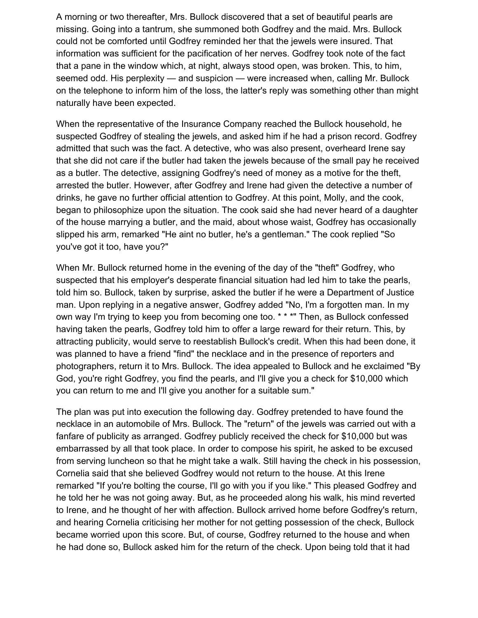A morning or two thereafter, Mrs. Bullock discovered that a set of beautiful pearls are missing. Going into a tantrum, she summoned both Godfrey and the maid. Mrs. Bullock could not be comforted until Godfrey reminded her that the jewels were insured. That information was sufficient for the pacification of her nerves. Godfrey took note of the fact that a pane in the window which, at night, always stood open, was broken. This, to him, seemed odd. His perplexity — and suspicion — were increased when, calling Mr. Bullock on the telephone to inform him of the loss, the latter's reply was something other than might naturally have been expected.

When the representative of the Insurance Company reached the Bullock household, he suspected Godfrey of stealing the jewels, and asked him if he had a prison record. Godfrey admitted that such was the fact. A detective, who was also present, overheard Irene say that she did not care if the butler had taken the jewels because of the small pay he received as a butler. The detective, assigning Godfrey's need of money as a motive for the theft, arrested the butler. However, after Godfrey and Irene had given the detective a number of drinks, he gave no further official attention to Godfrey. At this point, Molly, and the cook, began to philosophize upon the situation. The cook said she had never heard of a daughter of the house marrying a butler, and the maid, about whose waist, Godfrey has occasionally slipped his arm, remarked "He aint no butler, he's a gentleman." The cook replied "So you've got it too, have you?"

When Mr. Bullock returned home in the evening of the day of the "theft" Godfrey, who suspected that his employer's desperate financial situation had led him to take the pearls, told him so. Bullock, taken by surprise, asked the butler if he were a Department of Justice man. Upon replying in a negative answer, Godfrey added "No, I'm a forgotten man. In my own way I'm trying to keep you from becoming one too. \* \* \*" Then, as Bullock confessed having taken the pearls, Godfrey told him to offer a large reward for their return. This, by attracting publicity, would serve to reestablish Bullock's credit. When this had been done, it was planned to have a friend "find" the necklace and in the presence of reporters and photographers, return it to Mrs. Bullock. The idea appealed to Bullock and he exclaimed "By God, you're right Godfrey, you find the pearls, and I'll give you a check for \$10,000 which you can return to me and I'll give you another for a suitable sum."

The plan was put into execution the following day. Godfrey pretended to have found the necklace in an automobile of Mrs. Bullock. The "return" of the jewels was carried out with a fanfare of publicity as arranged. Godfrey publicly received the check for \$10,000 but was embarrassed by all that took place. In order to compose his spirit, he asked to be excused from serving luncheon so that he might take a walk. Still having the check in his possession, Cornelia said that she believed Godfrey would not return to the house. At this Irene remarked "If you're bolting the course, I'll go with you if you like." This pleased Godfrey and he told her he was not going away. But, as he proceeded along his walk, his mind reverted to Irene, and he thought of her with affection. Bullock arrived home before Godfrey's return, and hearing Cornelia criticising her mother for not getting possession of the check, Bullock became worried upon this score. But, of course, Godfrey returned to the house and when he had done so, Bullock asked him for the return of the check. Upon being told that it had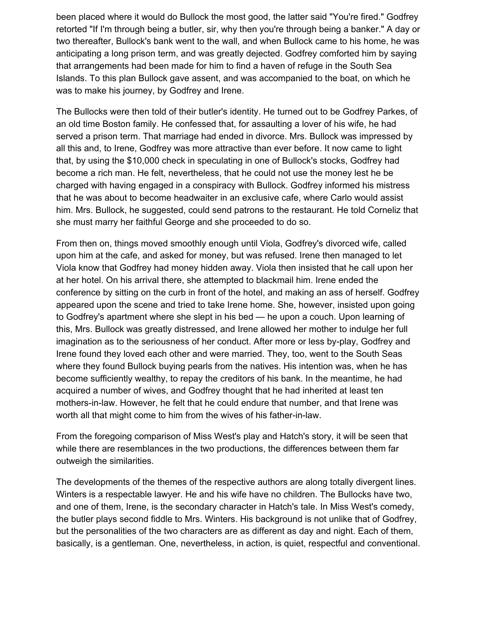been placed where it would do Bullock the most good, the latter said "You're fired." Godfrey retorted "If I'm through being a butler, sir, why then you're through being a banker." A day or two thereafter, Bullock's bank went to the wall, and when Bullock came to his home, he was anticipating a long prison term, and was greatly dejected. Godfrey comforted him by saying that arrangements had been made for him to find a haven of refuge in the South Sea Islands. To this plan Bullock gave assent, and was accompanied to the boat, on which he was to make his journey, by Godfrey and Irene.

The Bullocks were then told of their butler's identity. He turned out to be Godfrey Parkes, of an old time Boston family. He confessed that, for assaulting a lover of his wife, he had served a prison term. That marriage had ended in divorce. Mrs. Bullock was impressed by all this and, to Irene, Godfrey was more attractive than ever before. It now came to light that, by using the \$10,000 check in speculating in one of Bullock's stocks, Godfrey had become a rich man. He felt, nevertheless, that he could not use the money lest he be charged with having engaged in a conspiracy with Bullock. Godfrey informed his mistress that he was about to become headwaiter in an exclusive cafe, where Carlo would assist him. Mrs. Bullock, he suggested, could send patrons to the restaurant. He told Corneliz that she must marry her faithful George and she proceeded to do so.

From then on, things moved smoothly enough until Viola, Godfrey's divorced wife, called upon him at the cafe, and asked for money, but was refused. Irene then managed to let Viola know that Godfrey had money hidden away. Viola then insisted that he call upon her at her hotel. On his arrival there, she attempted to blackmail him. Irene ended the conference by sitting on the curb in front of the hotel, and making an ass of herself. Godfrey appeared upon the scene and tried to take Irene home. She, however, insisted upon going to Godfrey's apartment where she slept in his bed — he upon a couch. Upon learning of this, Mrs. Bullock was greatly distressed, and Irene allowed her mother to indulge her full imagination as to the seriousness of her conduct. After more or less by-play, Godfrey and Irene found they loved each other and were married. They, too, went to the South Seas where they found Bullock buying pearls from the natives. His intention was, when he has become sufficiently wealthy, to repay the creditors of his bank. In the meantime, he had acquired a number of wives, and Godfrey thought that he had inherited at least ten mothers-in-law. However, he felt that he could endure that number, and that Irene was worth all that might come to him from the wives of his father-in-law.

From the foregoing comparison of Miss West's play and Hatch's story, it will be seen that while there are resemblances in the two productions, the differences between them far outweigh the similarities.

The developments of the themes of the respective authors are along totally divergent lines. Winters is a respectable lawyer. He and his wife have no children. The Bullocks have two, and one of them, Irene, is the secondary character in Hatch's tale. In Miss West's comedy, the butler plays second fiddle to Mrs. Winters. His background is not unlike that of Godfrey, but the personalities of the two characters are as different as day and night. Each of them, basically, is a gentleman. One, nevertheless, in action, is quiet, respectful and conventional.